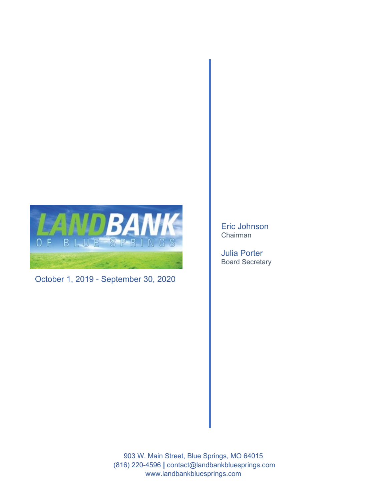

October 1, 2019 - September 30, 2020

Eric Johnson Chairman

Julia Porter Board Secretary

903 W. Main Street, Blue Springs, MO 64015 (816) 220-4596 **|** contact@landbankbluesprings.com www.landbankbluesprings.com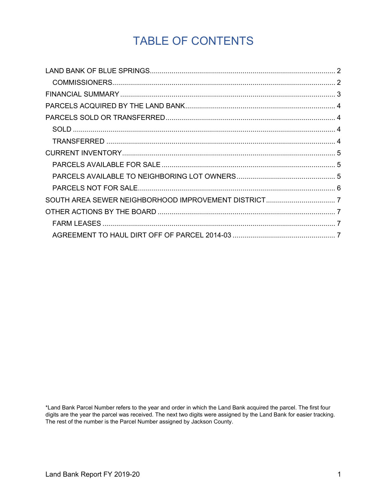# TABLE OF CONTENTS

\*Land Bank Parcel Number refers to the year and order in which the Land Bank acquired the parcel. The first four digits are the year the parcel was received. The next two digits were assigned by the Land Bank for easier tracking. The rest of the number is the Parcel Number assigned by Jackson County.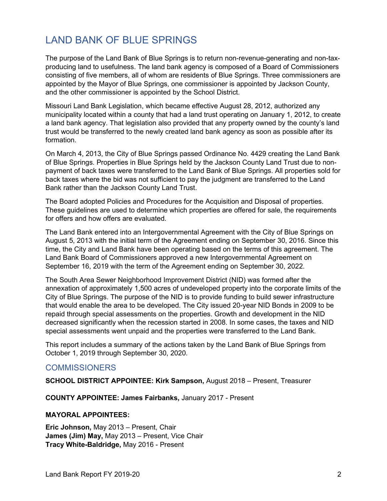## <span id="page-2-0"></span>LAND BANK OF BLUE SPRINGS

The purpose of the Land Bank of Blue Springs is to return non-revenue-generating and non-taxproducing land to usefulness. The land bank agency is composed of a Board of Commissioners consisting of five members, all of whom are residents of Blue Springs. Three commissioners are appointed by the Mayor of Blue Springs, one commissioner is appointed by Jackson County, and the other commissioner is appointed by the School District.

Missouri Land Bank Legislation, which became effective August 28, 2012, authorized any municipality located within a county that had a land trust operating on January 1, 2012, to create a land bank agency. That legislation also provided that any property owned by the county's land trust would be transferred to the newly created land bank agency as soon as possible after its formation.

On March 4, 2013, the City of Blue Springs passed Ordinance No. 4429 creating the Land Bank of Blue Springs. Properties in Blue Springs held by the Jackson County Land Trust due to nonpayment of back taxes were transferred to the Land Bank of Blue Springs. All properties sold for back taxes where the bid was not sufficient to pay the judgment are transferred to the Land Bank rather than the Jackson County Land Trust.

The Board adopted Policies and Procedures for the Acquisition and Disposal of properties. These guidelines are used to determine which properties are offered for sale, the requirements for offers and how offers are evaluated.

The Land Bank entered into an Intergovernmental Agreement with the City of Blue Springs on August 5, 2013 with the initial term of the Agreement ending on September 30, 2016. Since this time, the City and Land Bank have been operating based on the terms of this agreement. The Land Bank Board of Commissioners approved a new Intergovernmental Agreement on September 16, 2019 with the term of the Agreement ending on September 30, 2022.

The South Area Sewer Neighborhood Improvement District (NID) was formed after the annexation of approximately 1,500 acres of undeveloped property into the corporate limits of the City of Blue Springs. The purpose of the NID is to provide funding to build sewer infrastructure that would enable the area to be developed. The City issued 20-year NID Bonds in 2009 to be repaid through special assessments on the properties. Growth and development in the NID decreased significantly when the recession started in 2008. In some cases, the taxes and NID special assessments went unpaid and the properties were transferred to the Land Bank.

This report includes a summary of the actions taken by the Land Bank of Blue Springs from October 1, 2019 through September 30, 2020.

#### <span id="page-2-1"></span>**COMMISSIONERS**

**SCHOOL DISTRICT APPOINTEE: Kirk Sampson,** August 2018 – Present, Treasurer

**COUNTY APPOINTEE: James Fairbanks,** January 2017 - Present

#### **MAYORAL APPOINTEES:**

**Eric Johnson,** May 2013 – Present, Chair **James (Jim) May,** May 2013 – Present, Vice Chair **Tracy White-Baldridge,** May 2016 - Present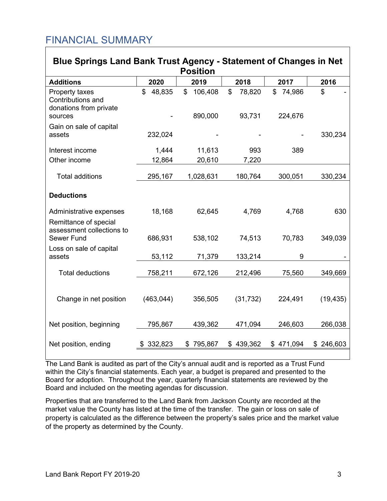## <span id="page-3-0"></span>FINANCIAL SUMMARY

| <b>Blue Springs Land Bank Trust Agency - Statement of Changes in Net</b>      |               |                          |                        |                         |           |
|-------------------------------------------------------------------------------|---------------|--------------------------|------------------------|-------------------------|-----------|
| <b>Position</b>                                                               |               |                          |                        |                         |           |
| <b>Additions</b>                                                              | 2020          | 2019                     | 2018                   | 2017                    | 2016      |
| Property taxes<br>Contributions and<br>donations from private<br>sources      | \$<br>48,835  | \$<br>106,408<br>890,000 | \$<br>78,820<br>93,731 | \$<br>74,986<br>224,676 | \$        |
| Gain on sale of capital<br>assets                                             | 232,024       |                          |                        |                         | 330,234   |
| Interest income                                                               | 1,444         | 11,613                   | 993                    | 389                     |           |
| Other income                                                                  | 12,864        | 20,610                   | 7,220                  |                         |           |
| <b>Total additions</b>                                                        | 295,167       | 1,028,631                | 180,764                | 300,051                 | 330,234   |
| <b>Deductions</b>                                                             |               |                          |                        |                         |           |
| Administrative expenses<br>Remittance of special<br>assessment collections to | 18,168        | 62,645                   | 4,769                  | 4,768                   | 630       |
| Sewer Fund                                                                    | 686,931       | 538,102                  | 74,513                 | 70,783                  | 349,039   |
| Loss on sale of capital<br>assets                                             | 53,112        | 71,379                   | 133,214                | 9                       |           |
| <b>Total deductions</b>                                                       | 758,211       | 672,126                  | 212,496                | 75,560                  | 349,669   |
| Change in net position                                                        | (463, 044)    | 356,505                  | (31, 732)              | 224,491                 | (19, 435) |
| Net position, beginning                                                       | 795,867       | 439,362                  | 471,094                | 246,603                 | 266,038   |
| Net position, ending                                                          | 332,823<br>\$ | 795,867<br>\$            | 439,362<br>\$          | \$471,094               | \$246,603 |

The Land Bank is audited as part of the City's annual audit and is reported as a Trust Fund within the City's financial statements. Each year, a budget is prepared and presented to the Board for adoption. Throughout the year, quarterly financial statements are reviewed by the Board and included on the meeting agendas for discussion.

Properties that are transferred to the Land Bank from Jackson County are recorded at the market value the County has listed at the time of the transfer. The gain or loss on sale of property is calculated as the difference between the property's sales price and the market value of the property as determined by the County.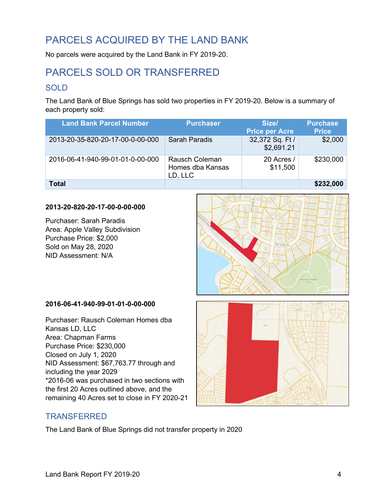## <span id="page-4-0"></span>PARCELS ACQUIRED BY THE LAND BANK

No parcels were acquired by the Land Bank in FY 2019-20.

## <span id="page-4-1"></span>PARCELS SOLD OR TRANSFERRED

### <span id="page-4-2"></span>**SOLD**

The Land Bank of Blue Springs has sold two properties in FY 2019-20. Below is a summary of each property sold:

| <b>Land Bank Parcel Number</b>   | <b>Purchaser</b>                                     | Size/<br><b>Price per Acre</b> | <b>Purchase</b><br><b>Price</b> |
|----------------------------------|------------------------------------------------------|--------------------------------|---------------------------------|
| 2013-20-35-820-20-17-00-0-00-000 | <b>Sarah Paradis</b>                                 | 32,372 Sq. Ft /<br>\$2,691.21  | \$2,000                         |
| 2016-06-41-940-99-01-01-0-00-000 | <b>Rausch Coleman</b><br>Homes dba Kansas<br>LD, LLC | 20 Acres /<br>\$11,500         | \$230,000                       |
| <b>Total</b>                     |                                                      |                                | \$232,000                       |

#### **2013-20-820-20-17-00-0-00-000**

Purchaser: Sarah Paradis Area: Apple Valley Subdivision Purchase Price: \$2,000 Sold on May 28, 2020 NID Assessment: N/A

#### **2016-06-41-940-99-01-01-0-00-000**

Purchaser: Rausch Coleman Homes dba Kansas LD, LLC Area: Chapman Farms Purchase Price: \$230,000 Closed on July 1, 2020 NID Assessment: \$67,763.77 through and including the year 2029 \*2016-06 was purchased in two sections with the first 20 Acres outlined above, and the remaining 40 Acres set to close in FY 2020-21



#### <span id="page-4-3"></span>**TRANSFERRED**

The Land Bank of Blue Springs did not transfer property in 2020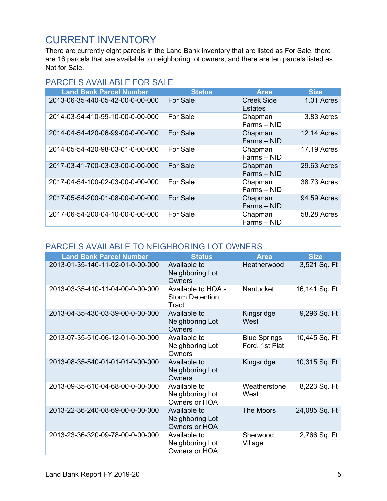### <span id="page-5-0"></span>CURRENT INVENTORY

There are currently eight parcels in the Land Bank inventory that are listed as For Sale, there are 16 parcels that are available to neighboring lot owners, and there are ten parcels listed as Not for Sale.

### <span id="page-5-1"></span>PARCELS AVAILABLE FOR SALE

| <b>Land Bank Parcel Number</b>   | <b>Status</b> | <b>Area</b>                  | <b>Size</b>        |
|----------------------------------|---------------|------------------------------|--------------------|
| 2013-06-35-440-05-42-00-0-00-000 | For Sale      | <b>Creek Side</b><br>Estates | 1.01 Acres         |
| 2014-03-54-410-99-10-00-0-00-000 | For Sale      | Chapman<br>Farms - NID       | 3.83 Acres         |
| 2014-04-54-420-06-99-00-0-00-000 | For Sale      | Chapman<br>Farms - NID       | <b>12.14 Acres</b> |
| 2014-05-54-420-98-03-01-0-00-000 | For Sale      | Chapman<br>Farms - NID       | <b>17.19 Acres</b> |
| 2017-03-41-700-03-03-00-0-00-000 | For Sale      | Chapman<br>Farms - NID       | 29.63 Acres        |
| 2017-04-54-100-02-03-00-0-00-000 | For Sale      | Chapman<br>Farms - NID       | 38.73 Acres        |
| 2017-05-54-200-01-08-00-0-00-000 | For Sale      | Chapman<br>Farms - NID       | 94.59 Acres        |
| 2017-06-54-200-04-10-00-0-00-000 | For Sale      | Chapman<br>Farms - NID       | 58.28 Acres        |

### <span id="page-5-2"></span>PARCELS AVAILABLE TO NEIGHBORING LOT OWNERS

| <b>Land Bank Parcel Number</b>   | <b>Status</b>                                         | <b>Area</b>                           | <b>Size</b>   |
|----------------------------------|-------------------------------------------------------|---------------------------------------|---------------|
| 2013-01-35-140-11-02-01-0-00-000 | Available to<br>Neighboring Lot<br>Owners             | Heatherwood                           |               |
| 2013-03-35-410-11-04-00-0-00-000 | Available to HOA -<br><b>Storm Detention</b><br>Tract | <b>Nantucket</b>                      | 16,141 Sq. Ft |
| 2013-04-35-430-03-39-00-0-00-000 | Available to<br>Neighboring Lot<br>Owners             | Kingsridge<br>West                    | 9,296 Sq. Ft  |
| 2013-07-35-510-06-12-01-0-00-000 | Available to<br>Neighboring Lot<br>Owners             | <b>Blue Springs</b><br>Ford, 1st Plat | 10,445 Sq. Ft |
| 2013-08-35-540-01-01-01-0-00-000 | Available to<br>Neighboring Lot<br>Owners             | Kingsridge                            | 10,315 Sq. Ft |
| 2013-09-35-610-04-68-00-0-00-000 | Available to<br>Neighboring Lot<br>Owners or HOA      | Weatherstone<br>West                  | 8,223 Sq. Ft  |
| 2013-22-36-240-08-69-00-0-00-000 | Available to<br>Neighboring Lot<br>Owners or HOA      | The Moors                             | 24,085 Sq. Ft |
| 2013-23-36-320-09-78-00-0-00-000 | Available to<br>Neighboring Lot<br>Owners or HOA      | Sherwood<br>Village                   | 2,766 Sq. Ft  |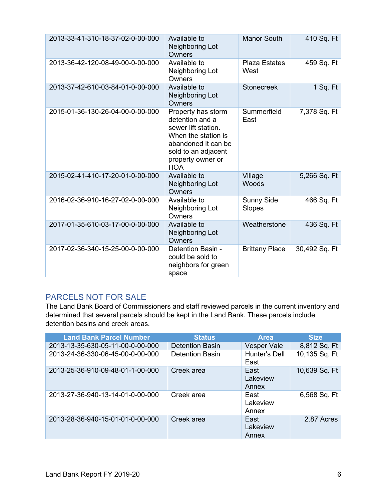| 2013-33-41-310-18-37-02-0-00-000 | <b>Manor South</b><br>Available to<br>Neighboring Lot<br>Owners                                                                                                      |                              | 410 Sq. Ft    |
|----------------------------------|----------------------------------------------------------------------------------------------------------------------------------------------------------------------|------------------------------|---------------|
| 2013-36-42-120-08-49-00-0-00-000 | Available to<br>Neighboring Lot<br>Owners                                                                                                                            | <b>Plaza Estates</b><br>West | 459 Sq. Ft    |
| 2013-37-42-610-03-84-01-0-00-000 | Available to<br>Neighboring Lot<br>Owners                                                                                                                            | <b>Stonecreek</b>            | $1$ Sq. Ft    |
| 2015-01-36-130-26-04-00-0-00-000 | Property has storm<br>detention and a<br>sewer lift station.<br>When the station is<br>abandoned it can be<br>sold to an adjacent<br>property owner or<br><b>HOA</b> | Summerfield<br>East          | 7,378 Sq. Ft  |
| 2015-02-41-410-17-20-01-0-00-000 | Available to<br>Neighboring Lot<br>Owners                                                                                                                            | Village<br>Woods             | 5,266 Sq. Ft  |
| 2016-02-36-910-16-27-02-0-00-000 | Available to<br>Neighboring Lot<br>Owners                                                                                                                            | <b>Sunny Side</b><br>Slopes  | 466 Sq. Ft    |
| 2017-01-35-610-03-17-00-0-00-000 | Available to<br>Neighboring Lot<br>Owners                                                                                                                            | Weatherstone                 | 436 Sq. Ft    |
| 2017-02-36-340-15-25-00-0-00-000 | Detention Basin -<br>could be sold to<br>neighbors for green<br>space                                                                                                | <b>Brittany Place</b>        | 30,492 Sq. Ft |

### <span id="page-6-0"></span>PARCELS NOT FOR SALE

The Land Bank Board of Commissioners and staff reviewed parcels in the current inventory and determined that several parcels should be kept in the Land Bank. These parcels include detention basins and creek areas.

| <b>Land Bank Parcel Number</b>   | <b>Status</b>          | <b>Area</b>               | <b>Size</b>   |
|----------------------------------|------------------------|---------------------------|---------------|
| 2013-13-35-630-05-11-00-0-00-000 | <b>Detention Basin</b> | <b>Vesper Vale</b>        | 8,812 Sq. Ft  |
| 2013-24-36-330-06-45-00-0-00-000 | <b>Detention Basin</b> | Hunter's Dell<br>East     | 10,135 Sq. Ft |
| 2013-25-36-910-09-48-01-1-00-000 | Creek area             | East<br>Lakeview<br>Annex | 10,639 Sq. Ft |
| 2013-27-36-940-13-14-01-0-00-000 | Creek area             | East<br>Lakeview<br>Annex | 6,568 Sq. Ft  |
| 2013-28-36-940-15-01-01-0-00-000 | Creek area             | East<br>Lakeview<br>Annex | 2.87 Acres    |